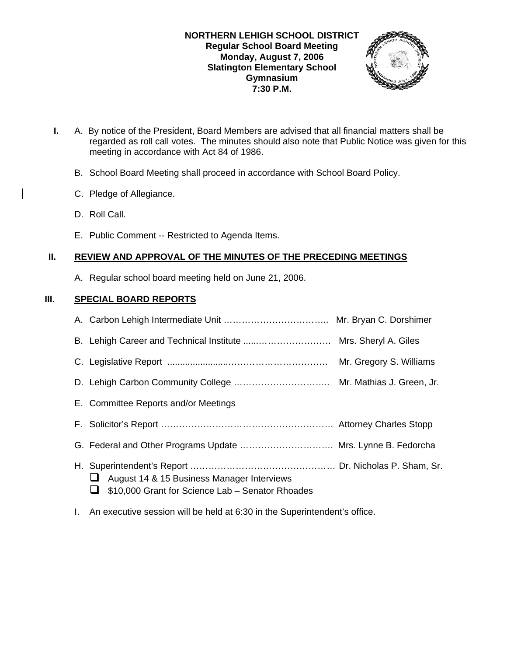

- **I.** A. By notice of the President, Board Members are advised that all financial matters shall be regarded as roll call votes. The minutes should also note that Public Notice was given for this meeting in accordance with Act 84 of 1986.
	- B. School Board Meeting shall proceed in accordance with School Board Policy.
	- C. Pledge of Allegiance.
	- D. Roll Call.
	- E. Public Comment -- Restricted to Agenda Items.

# **II. REVIEW AND APPROVAL OF THE MINUTES OF THE PRECEDING MEETINGS**

A. Regular school board meeting held on June 21, 2006.

# **III. SPECIAL BOARD REPORTS**

|                                                                                                | Mr. Gregory S. Williams |
|------------------------------------------------------------------------------------------------|-------------------------|
|                                                                                                |                         |
| E. Committee Reports and/or Meetings                                                           |                         |
|                                                                                                |                         |
| G. Federal and Other Programs Update  Mrs. Lynne B. Fedorcha                                   |                         |
| August 14 & 15 Business Manager Interviews<br>\$10,000 Grant for Science Lab - Senator Rhoades |                         |

I. An executive session will be held at 6:30 in the Superintendent's office.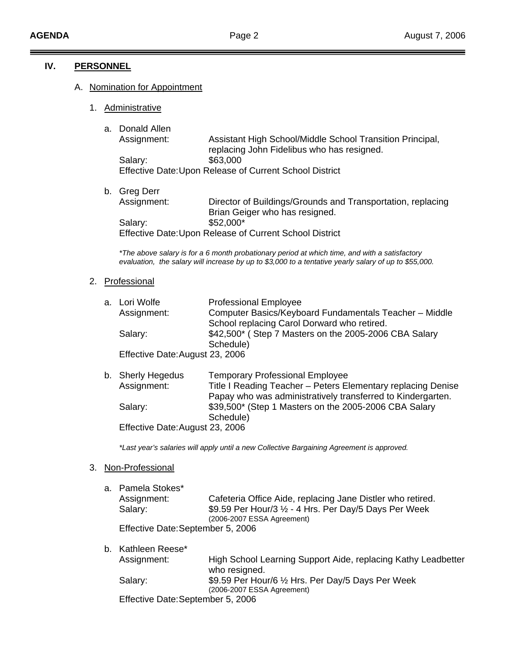#### **IV. PERSONNEL**

#### A. Nomination for Appointment

- 1. Administrative
	- a. Donald Allen

 Assignment: Assistant High School/Middle School Transition Principal, replacing John Fidelibus who has resigned. Salary: \$63,000 Effective Date: Upon Release of Current School District

b. Greg Derr Assignment: Director of Buildings/Grounds and Transportation, replacing Brian Geiger who has resigned. Salary: \$52,000\* Effective Date: Upon Release of Current School District

*\*The above salary is for a 6 month probationary period at which time, and with a satisfactory evaluation, the salary will increase by up to \$3,000 to a tentative yearly salary of up to \$55,000.* 

2. Professional

| a. Lori Wolfe                   | <b>Professional Employee</b>                           |
|---------------------------------|--------------------------------------------------------|
| Assignment:                     | Computer Basics/Keyboard Fundamentals Teacher - Middle |
|                                 | School replacing Carol Dorward who retired.            |
| Salary:                         | \$42,500* (Step 7 Masters on the 2005-2006 CBA Salary  |
|                                 | Schedule)                                              |
| Effective Date: August 23, 2006 |                                                        |

| b. Sherly Hegedus               | <b>Temporary Professional Employee</b>                       |
|---------------------------------|--------------------------------------------------------------|
| Assignment:                     | Title I Reading Teacher - Peters Elementary replacing Denise |
|                                 | Papay who was administratively transferred to Kindergarten.  |
| Salary:                         | \$39,500* (Step 1 Masters on the 2005-2006 CBA Salary        |
|                                 | Schedule)                                                    |
| Effective Date: August 23, 2006 |                                                              |

*\*Last year's salaries will apply until a new Collective Bargaining Agreement is approved.* 

#### 3. Non-Professional

| a. Pamela Stokes*                 |                                                                  |
|-----------------------------------|------------------------------------------------------------------|
| Assignment:                       | Cafeteria Office Aide, replacing Jane Distler who retired.       |
| Salary:                           | \$9.59 Per Hour/3 $\frac{1}{2}$ - 4 Hrs. Per Day/5 Days Per Week |
|                                   | (2006-2007 ESSA Agreement)                                       |
| Effective Date: September 5, 2006 |                                                                  |

| b. Kathleen Reese*                |                                                                                  |
|-----------------------------------|----------------------------------------------------------------------------------|
| Assignment:                       | High School Learning Support Aide, replacing Kathy Leadbetter<br>who resigned.   |
| Salary:                           | \$9.59 Per Hour/6 1/2 Hrs. Per Day/5 Days Per Week<br>(2006-2007 ESSA Agreement) |
| Effective Date: September 5, 2006 |                                                                                  |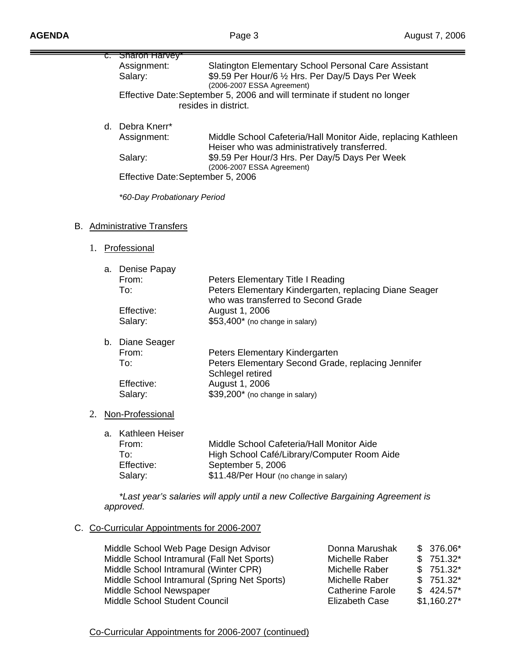|    |    | Sharon Harvey                                                   |                                                                                                                                                         |                                                               |
|----|----|-----------------------------------------------------------------|---------------------------------------------------------------------------------------------------------------------------------------------------------|---------------------------------------------------------------|
|    |    | Assignment:<br>Salary:                                          | Slatington Elementary School Personal Care Assistant<br>\$9.59 Per Hour/6 1/2 Hrs. Per Day/5 Days Per Week<br>(2006-2007 ESSA Agreement)                |                                                               |
|    |    |                                                                 | Effective Date: September 5, 2006 and will terminate if student no longer<br>resides in district.                                                       |                                                               |
|    |    | d. Debra Knerr*                                                 |                                                                                                                                                         |                                                               |
|    |    | Assignment:                                                     | Heiser who was administratively transferred.                                                                                                            | Middle School Cafeteria/Hall Monitor Aide, replacing Kathleen |
|    |    | Salary:                                                         | \$9.59 Per Hour/3 Hrs. Per Day/5 Days Per Week<br>(2006-2007 ESSA Agreement)                                                                            |                                                               |
|    |    | Effective Date: September 5, 2006                               |                                                                                                                                                         |                                                               |
|    |    | *60-Day Probationary Period                                     |                                                                                                                                                         |                                                               |
|    |    | B. Administrative Transfers                                     |                                                                                                                                                         |                                                               |
|    |    | 1. Professional                                                 |                                                                                                                                                         |                                                               |
|    |    | a. Denise Papay<br>From:<br>To:                                 | Peters Elementary Title I Reading<br>who was transferred to Second Grade                                                                                | Peters Elementary Kindergarten, replacing Diane Seager        |
|    |    | Effective:<br>Salary:                                           | August 1, 2006<br>\$53,400* (no change in salary)                                                                                                       |                                                               |
|    |    | b. Diane Seager<br>From:<br>To:                                 | Peters Elementary Kindergarten<br>Peters Elementary Second Grade, replacing Jennifer                                                                    |                                                               |
|    |    | Effective:<br>Salary:                                           | Schlegel retired<br>August 1, 2006<br>\$39,200* (no change in salary)                                                                                   |                                                               |
| 2. |    | Non-Professional                                                |                                                                                                                                                         |                                                               |
|    | а. | <b>Kathleen Heiser</b><br>From:<br>To:<br>Effective:<br>Salary: | Middle School Cafeteria/Hall Monitor Aide<br>High School Café/Library/Computer Room Aide<br>September 5, 2006<br>\$11.48/Per Hour (no change in salary) |                                                               |
|    |    | approved.                                                       | *Last year's salaries will apply until a new Collective Bargaining Agreement is                                                                         |                                                               |
|    |    | Co-Curricular Appointments for 2006-2007                        |                                                                                                                                                         |                                                               |
|    |    | Middle School Web Page Design Advisor                           |                                                                                                                                                         | Donna Marushak<br>376.06*<br>\$                               |

| Middle School Web Page Design Advisor        | Donna Marushak          | \$376.06*    |
|----------------------------------------------|-------------------------|--------------|
| Middle School Intramural (Fall Net Sports)   | Michelle Raber          | $$751.32^*$  |
| Middle School Intramural (Winter CPR)        | Michelle Raber          | $$751.32^*$  |
| Middle School Intramural (Spring Net Sports) | Michelle Raber          | $$751.32^*$  |
| Middle School Newspaper                      | <b>Catherine Farole</b> | $$424.57^*$  |
| Middle School Student Council                | <b>Elizabeth Case</b>   | $$1,160.27*$ |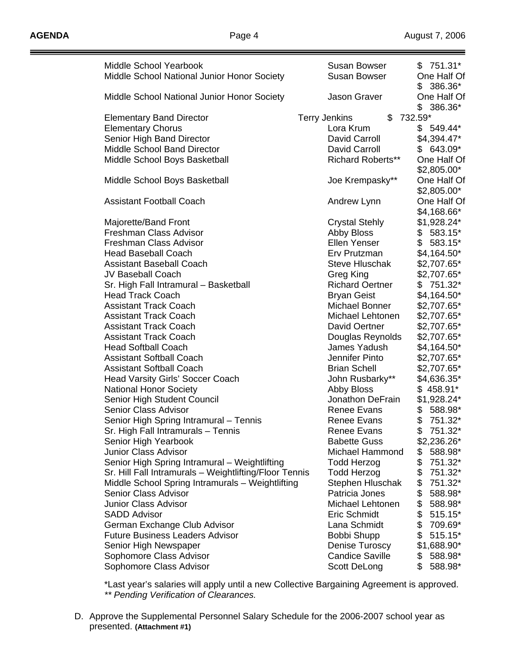| <b>Middle School Yearbook</b>                          | <b>Susan Bowser</b>        | $$751.31*$      |
|--------------------------------------------------------|----------------------------|-----------------|
| Middle School National Junior Honor Society            | <b>Susan Bowser</b>        | One Half Of     |
|                                                        |                            | $$386.36*$      |
| Middle School National Junior Honor Society            | Jason Graver               | One Half Of     |
|                                                        |                            |                 |
|                                                        |                            | $$386.36^*$     |
| <b>Elementary Band Director</b>                        | \$<br><b>Terry Jenkins</b> | 732.59*         |
| <b>Elementary Chorus</b>                               | Lora Krum                  | $$549.44*$      |
| Senior High Band Director                              | David Carroll              | \$4,394.47*     |
| Middle School Band Director                            | David Carroll              | $$643.09*$      |
| Middle School Boys Basketball                          | <b>Richard Roberts**</b>   | One Half Of     |
|                                                        |                            | $$2,805.00*$    |
| Middle School Boys Basketball                          | Joe Krempasky**            | One Half Of     |
|                                                        |                            | \$2,805.00*     |
| <b>Assistant Football Coach</b>                        | Andrew Lynn                | One Half Of     |
|                                                        |                            | \$4,168.66*     |
| Majorette/Band Front                                   | <b>Crystal Stehly</b>      | \$1,928.24*     |
| Freshman Class Advisor                                 | Abby Bloss                 | $$583.15^*$     |
| Freshman Class Advisor                                 | Ellen Yenser               | \$<br>583.15*   |
| <b>Head Baseball Coach</b>                             | Erv Prutzman               | $$4,164.50*$    |
| <b>Assistant Baseball Coach</b>                        | <b>Steve Hluschak</b>      | \$2,707.65*     |
| <b>JV Baseball Coach</b>                               | Greg King                  | \$2,707.65*     |
| Sr. High Fall Intramural - Basketball                  | <b>Richard Oertner</b>     | 751.32*<br>\$   |
| <b>Head Track Coach</b>                                | <b>Bryan Geist</b>         | $$4,164.50*$    |
| <b>Assistant Track Coach</b>                           | Michael Bonner             | \$2,707.65*     |
| <b>Assistant Track Coach</b>                           | Michael Lehtonen           | \$2,707.65*     |
| <b>Assistant Track Coach</b>                           | David Oertner              | \$2,707.65*     |
| <b>Assistant Track Coach</b>                           | Douglas Reynolds           | \$2,707.65*     |
| <b>Head Softball Coach</b>                             | James Yadush               | \$4,164.50*     |
| <b>Assistant Softball Coach</b>                        | Jennifer Pinto             | \$2,707.65*     |
| <b>Assistant Softball Coach</b>                        | <b>Brian Schell</b>        | \$2,707.65*     |
| <b>Head Varsity Girls' Soccer Coach</b>                |                            |                 |
|                                                        | John Rusbarky**            | \$4,636.35*     |
| <b>National Honor Society</b>                          | <b>Abby Bloss</b>          | $$458.91*$      |
| Senior High Student Council                            | Jonathon DeFrain           | \$1,928.24*     |
| <b>Senior Class Advisor</b>                            | Renee Evans                | 588.98*<br>\$   |
| Senior High Spring Intramural - Tennis                 | <b>Renee Evans</b>         | \$<br>751.32*   |
| Sr. High Fall Intramurals - Tennis                     | <b>Renee Evans</b>         | 751.32*<br>\$   |
| Senior High Yearbook                                   | <b>Babette Guss</b>        | \$2,236.26*     |
| Junior Class Advisor                                   | <b>Michael Hammond</b>     | 588.98*<br>\$   |
| Senior High Spring Intramural - Weightlifting          | <b>Todd Herzog</b>         | \$<br>751.32*   |
| Sr. Hill Fall Intramurals - Weightlifting/Floor Tennis | <b>Todd Herzog</b>         | \$<br>751.32*   |
| Middle School Spring Intramurals - Weightlifting       | Stephen Hluschak           | \$<br>751.32*   |
| Senior Class Advisor                                   | Patricia Jones             | \$<br>588.98*   |
| Junior Class Advisor                                   | Michael Lehtonen           | \$<br>588.98*   |
| <b>SADD Advisor</b>                                    | Eric Schmidt               | \$<br>$515.15*$ |
| German Exchange Club Advisor                           | Lana Schmidt               | \$<br>709.69*   |
| <b>Future Business Leaders Advisor</b>                 | Bobbi Shupp                | \$<br>$515.15*$ |
| Senior High Newspaper                                  | Denise Turoscy             | \$1,688.90*     |
| Sophomore Class Advisor                                | <b>Candice Saville</b>     | \$<br>588.98*   |
| Sophomore Class Advisor                                | Scott DeLong               | 588.98*<br>\$   |

 \*Last year's salaries will apply until a new Collective Bargaining Agreement is approved.  *\*\* Pending Verification of Clearances.* 

D. Approve the Supplemental Personnel Salary Schedule for the 2006-2007 school year as presented. **(Attachment #1)**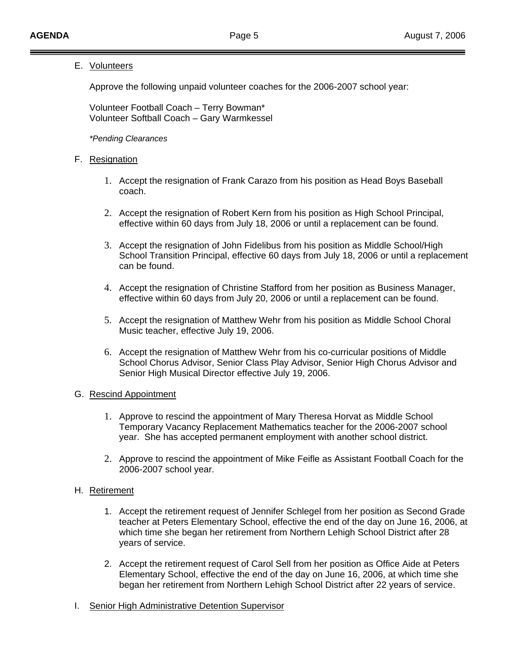## E. Volunteers

Approve the following unpaid volunteer coaches for the 2006-2007 school year:

 Volunteer Football Coach – Terry Bowman\* Volunteer Softball Coach – Gary Warmkessel

*\*Pending Clearances* 

### F. Resignation

- 1. Accept the resignation of Frank Carazo from his position as Head Boys Baseball coach.
- 2. Accept the resignation of Robert Kern from his position as High School Principal, effective within 60 days from July 18, 2006 or until a replacement can be found.
- 3. Accept the resignation of John Fidelibus from his position as Middle School/High School Transition Principal, effective 60 days from July 18, 2006 or until a replacement can be found.
- 4. Accept the resignation of Christine Stafford from her position as Business Manager, effective within 60 days from July 20, 2006 or until a replacement can be found.
- 5. Accept the resignation of Matthew Wehr from his position as Middle School Choral Music teacher, effective July 19, 2006.
- 6. Accept the resignation of Matthew Wehr from his co-curricular positions of Middle School Chorus Advisor, Senior Class Play Advisor, Senior High Chorus Advisor and Senior High Musical Director effective July 19, 2006.

#### G. Rescind Appointment

- 1. Approve to rescind the appointment of Mary Theresa Horvat as Middle School Temporary Vacancy Replacement Mathematics teacher for the 2006-2007 school year. She has accepted permanent employment with another school district.
- 2. Approve to rescind the appointment of Mike Feifle as Assistant Football Coach for the 2006-2007 school year.

# H. Retirement

- 1. Accept the retirement request of Jennifer Schlegel from her position as Second Grade teacher at Peters Elementary School, effective the end of the day on June 16, 2006, at which time she began her retirement from Northern Lehigh School District after 28 years of service.
- 2. Accept the retirement request of Carol Sell from her position as Office Aide at Peters Elementary School, effective the end of the day on June 16, 2006, at which time she began her retirement from Northern Lehigh School District after 22 years of service.
- I. Senior High Administrative Detention Supervisor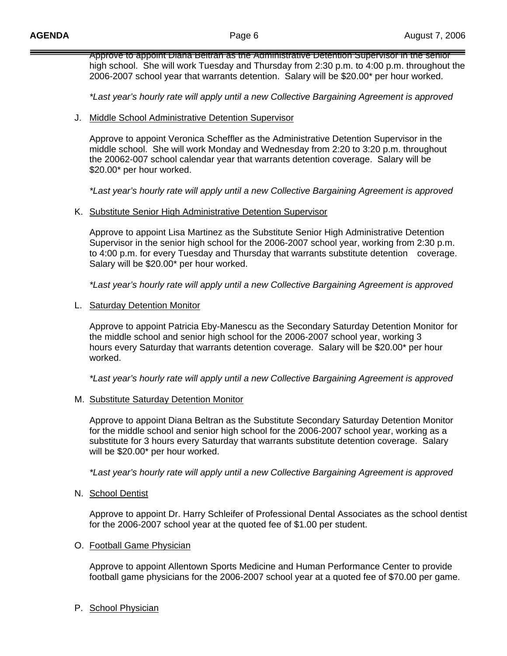Approve to appoint Diana Beltran as the Administrative Detention Supervisor in the senior high school. She will work Tuesday and Thursday from 2:30 p.m. to 4:00 p.m. throughout the 2006-2007 school year that warrants detention. Salary will be \$20.00\* per hour worked.

 *\*Last year's hourly rate will apply until a new Collective Bargaining Agreement is approved*

#### J. Middle School Administrative Detention Supervisor

 Approve to appoint Veronica Scheffler as the Administrative Detention Supervisor in the middle school. She will work Monday and Wednesday from 2:20 to 3:20 p.m. throughout the 20062-007 school calendar year that warrants detention coverage. Salary will be \$20.00\* per hour worked.

 *\*Last year's hourly rate will apply until a new Collective Bargaining Agreement is approved*

K. Substitute Senior High Administrative Detention Supervisor

 Approve to appoint Lisa Martinez as the Substitute Senior High Administrative Detention Supervisor in the senior high school for the 2006-2007 school year, working from 2:30 p.m. to 4:00 p.m. for every Tuesday and Thursday that warrants substitute detention coverage. Salary will be \$20.00\* per hour worked.

*\*Last year's hourly rate will apply until a new Collective Bargaining Agreement is approved*

L. Saturday Detention Monitor

 Approve to appoint Patricia Eby-Manescu as the Secondary Saturday Detention Monitor for the middle school and senior high school for the 2006-2007 school year, working 3 hours every Saturday that warrants detention coverage. Salary will be \$20.00\* per hour worked.

*\*Last year's hourly rate will apply until a new Collective Bargaining Agreement is approved*

#### M. Substitute Saturday Detention Monitor

 Approve to appoint Diana Beltran as the Substitute Secondary Saturday Detention Monitor for the middle school and senior high school for the 2006-2007 school year, working as a substitute for 3 hours every Saturday that warrants substitute detention coverage. Salary will be \$20.00\* per hour worked.

*\*Last year's hourly rate will apply until a new Collective Bargaining Agreement is approved*

N. School Dentist

 Approve to appoint Dr. Harry Schleifer of Professional Dental Associates as the school dentist for the 2006-2007 school year at the quoted fee of \$1.00 per student.

#### O. Football Game Physician

 Approve to appoint Allentown Sports Medicine and Human Performance Center to provide football game physicians for the 2006-2007 school year at a quoted fee of \$70.00 per game.

P. School Physician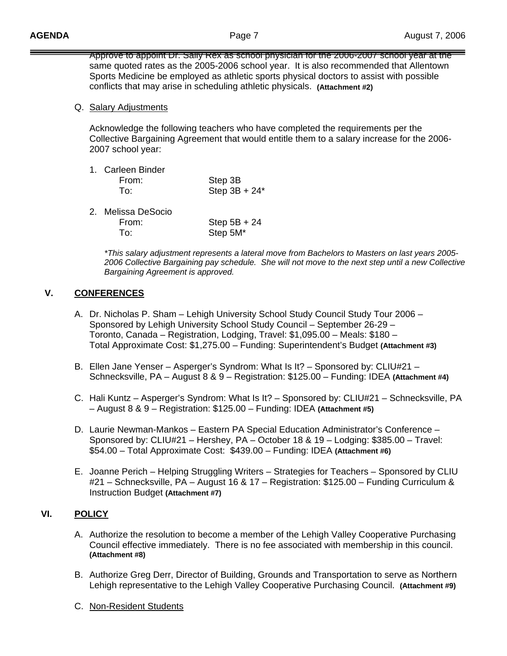Approve to appoint Dr. Sally Rex as school physician for the 2006-2007 school year at the same quoted rates as the 2005-2006 school year. It is also recommended that Allentown Sports Medicine be employed as athletic sports physical doctors to assist with possible conflicts that may arise in scheduling athletic physicals. **(Attachment #2)** 

# Q. Salary Adjustments

 Acknowledge the following teachers who have completed the requirements per the Collective Bargaining Agreement that would entitle them to a salary increase for the 2006- 2007 school year:

| 1. Carleen Binder |                  |
|-------------------|------------------|
| From:             | Step 3B          |
| To:               | Step $3B + 24^*$ |

| 2. Melissa DeSocio |                      |
|--------------------|----------------------|
| From:              | Step $5B + 24$       |
| To∶                | Step 5M <sup>*</sup> |

*\*This salary adjustment represents a lateral move from Bachelors to Masters on last years 2005- 2006 Collective Bargaining pay schedule. She will not move to the next step until a new Collective Bargaining Agreement is approved.* 

# **V. CONFERENCES**

- A. Dr. Nicholas P. Sham Lehigh University School Study Council Study Tour 2006 Sponsored by Lehigh University School Study Council – September 26-29 – Toronto, Canada – Registration, Lodging, Travel: \$1,095.00 – Meals: \$180 – Total Approximate Cost: \$1,275.00 – Funding: Superintendent's Budget **(Attachment #3)**
- B. Ellen Jane Yenser Asperger's Syndrom: What Is It? Sponsored by: CLIU#21 Schnecksville, PA – August 8 & 9 – Registration: \$125.00 – Funding: IDEA **(Attachment #4)**
- C. Hali Kuntz Asperger's Syndrom: What Is It? Sponsored by: CLIU#21 Schnecksville, PA – August 8 & 9 – Registration: \$125.00 – Funding: IDEA **(Attachment #5)**
- D. Laurie Newman-Mankos Eastern PA Special Education Administrator's Conference Sponsored by: CLIU#21 – Hershey, PA – October 18 & 19 – Lodging: \$385.00 – Travel: \$54.00 – Total Approximate Cost: \$439.00 – Funding: IDEA **(Attachment #6)**
- E. Joanne Perich Helping Struggling Writers Strategies for Teachers Sponsored by CLIU #21 – Schnecksville, PA – August 16 & 17 – Registration: \$125.00 – Funding Curriculum & Instruction Budget **(Attachment #7)**

# **VI. POLICY**

- A. Authorize the resolution to become a member of the Lehigh Valley Cooperative Purchasing Council effective immediately. There is no fee associated with membership in this council. **(Attachment #8)**
- B. Authorize Greg Derr, Director of Building, Grounds and Transportation to serve as Northern Lehigh representative to the Lehigh Valley Cooperative Purchasing Council. **(Attachment #9)**
- C. Non-Resident Students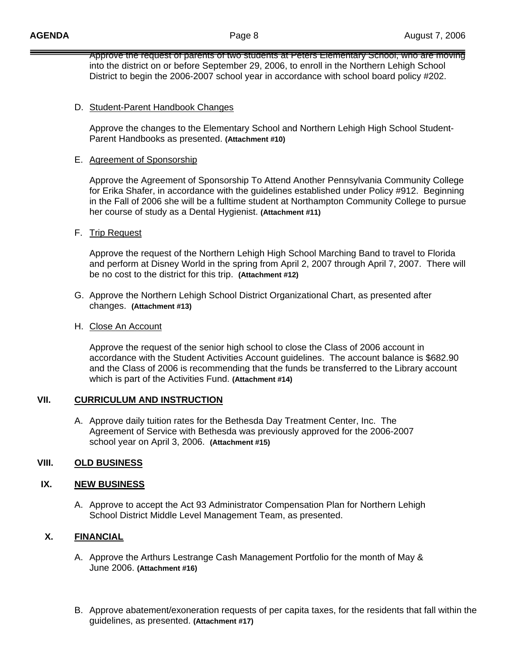Approve the request of parents of two students at Peters Elementary School, who are moving into the district on or before September 29, 2006, to enroll in the Northern Lehigh School District to begin the 2006-2007 school year in accordance with school board policy #202.

## D. Student-Parent Handbook Changes

 Approve the changes to the Elementary School and Northern Lehigh High School Student- Parent Handbooks as presented. **(Attachment #10)** 

### E. Agreement of Sponsorship

 Approve the Agreement of Sponsorship To Attend Another Pennsylvania Community College for Erika Shafer, in accordance with the guidelines established under Policy #912. Beginning in the Fall of 2006 she will be a fulltime student at Northampton Community College to pursue her course of study as a Dental Hygienist. **(Attachment #11)**

# F. Trip Request

 Approve the request of the Northern Lehigh High School Marching Band to travel to Florida and perform at Disney World in the spring from April 2, 2007 through April 7, 2007. There will be no cost to the district for this trip. **(Attachment #12)** 

G. Approve the Northern Lehigh School District Organizational Chart, as presented after changes. **(Attachment #13)**

### H. Close An Account

 Approve the request of the senior high school to close the Class of 2006 account in accordance with the Student Activities Account guidelines. The account balance is \$682.90 and the Class of 2006 is recommending that the funds be transferred to the Library account which is part of the Activities Fund. **(Attachment #14)** 

#### **VII. CURRICULUM AND INSTRUCTION**

A. Approve daily tuition rates for the Bethesda Day Treatment Center, Inc. The Agreement of Service with Bethesda was previously approved for the 2006-2007 school year on April 3, 2006. **(Attachment #15)**

# **VIII. OLD BUSINESS**

# **IX. NEW BUSINESS**

A. Approve to accept the Act 93 Administrator Compensation Plan for Northern Lehigh School District Middle Level Management Team, as presented.

# **X. FINANCIAL**

- A. Approve the Arthurs Lestrange Cash Management Portfolio for the month of May & June 2006. **(Attachment #16)**
- B. Approve abatement/exoneration requests of per capita taxes, for the residents that fall within the guidelines, as presented. **(Attachment #17)**